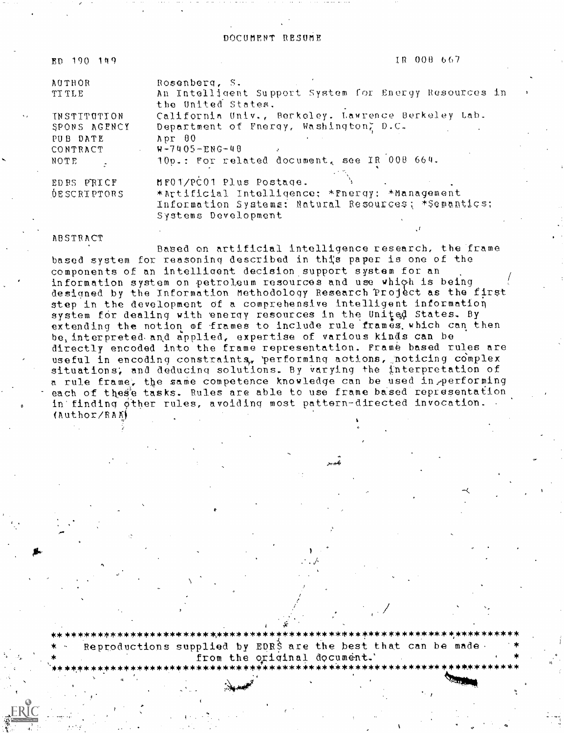DOCUMENT RESUME

| ED 190 149         | IR 008 667                                                                                            |
|--------------------|-------------------------------------------------------------------------------------------------------|
| AUTHOR             | Rosenberg, S.                                                                                         |
| <b>TITLE</b>       | An Intelligent Support System for Energy Resources in<br>the United States.                           |
| <b>INSTITUTION</b> | California Univ., Berkeley. Lawrence Berkeley Lab.                                                    |
| SPONS AGENCY       | Department of Fnergy, Washington, D.C.                                                                |
| PUB DATE           | Mpr 00                                                                                                |
| CONTRACT           | $W - 7405 - ENG - 48$                                                                                 |
| NOTE               | 10p.: For related document, see IR 008 664.                                                           |
| EDBS PRICF         | MF01/PC01 Plus Postage.                                                                               |
| <b>DESCRIPTORS</b> | *Artificial Intelligence: *Fnergy: *Management<br>Information Systems: Natural Resources; *Semantics; |

Systems Development

#### **ABSTRACT**

Based on artificial intelligence research, the frame based system for reasoning described in this paper is one of the components of an intelligent decision support system for an information system on petroleum resources and use which is being designed by the Information Methodology Research Project as the first step in the development of a comprehensive intelligent information system for dealing with energy resources in the United States. By extending the notion of frames to include rule frames which can then be, interpreted and applied, expertise of various kinds can be directly encoded into the frame representation. Frame based rules are useful in encoding constraints, performing actions, noticing complex situations, and deducing solutions. By varying the interpretation of a rule frame, the same competence knowledge can be used in performing each of these tasks. Rules are able to use frame based representation in finding other rules, avoiding most pattern-directed invocation.  $(Author/RAN)$ 

Reproductions supplied by EDRS are the best that can be made. from the original document.'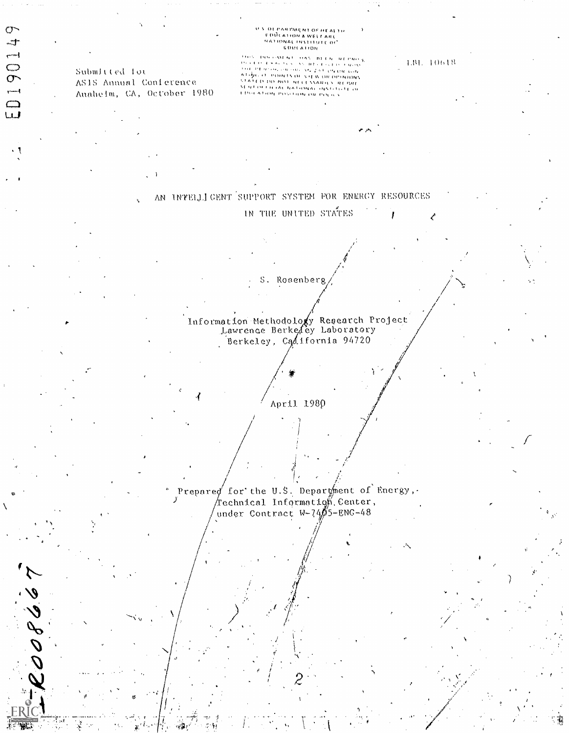## U.S. DEPARTMENT OF HEALTH<br>- EDUCATION & WELFARE<br>- HATIONAL INSTITUTE OF **GOULATION**

Submitted for AS18 Annual Conference Auabeim, CA, October 1980

 $\sigma$  $-t$ 

 $-1$ 

 $\frac{0}{1}$ 

 $\begin{array}{c} \square \\ \square \end{array}$ 

08667

inderessen und den schaften und man ge<br>Schweidung in der aufgebieden under **Stevensors and Are ZINT Chevrile Line** *THE CERTIFICATION OF TAT OF CR. CA.*<br>A 1 (ACC DO BOL) NECESSARIO Y REPART<br>STATE O DO BOL) NECESSARIO Y REPART<br>STATE O DO BOL) NECESSARIO Y REPART<br>ETHE O DON POSITION OR POLICS

 $1. \mathrm{BL}$   $-1061\mathrm{R}$ 

AN INTELLIGENT SUPPORT SYSTEM FOR ENERGY RESOURCES

IN THE UNITED STATES

S. Rosenberg

Information Methodology Research Project<br>Lawrence Berkedey Laboratory Berkeley, California 94720

April 1980

Prepared for the U.S. Department of Energy,. Technical Information Center, under Contract  $W-7405-ENG-48$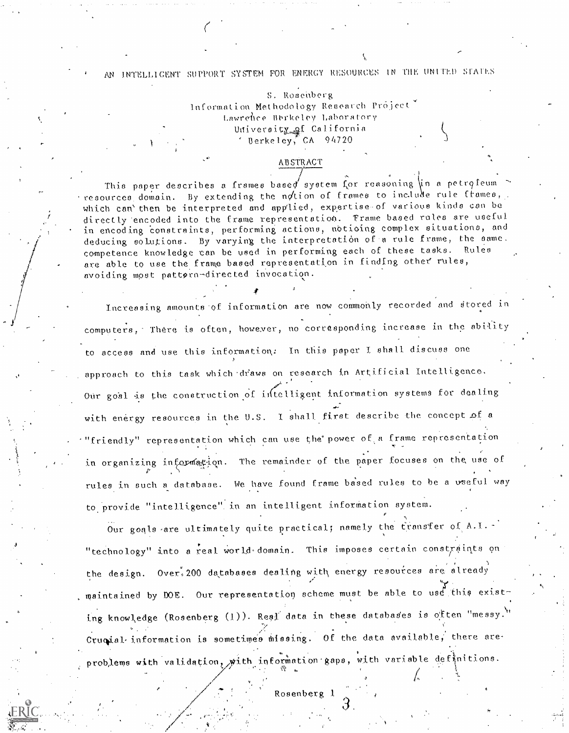# AN INTELLIGENT SUPPORT SYSTEM FOR ENERGY RESOURCES IN THE UNITED STATES

S. Rosenberg Information Methodology Research Project Lawrence Berkeley Laboratory University of California  $^{\circ}$  Berkeley, CA 94720

#### **ABSTRACT**

This paper describes a frames based system for reasoning in a petroleum resources domain. By extending the notion of frames to include rule frames, which can'then be interpreted and applied, expertise of various kinds can be directly encoded into the frame representation. Frame based rules are useful in encoding constraints, performing actions, notioing complex situations, and deducing solutions. By varying the interpretation of a rule frame, the same. competence knowledge can be used in performing each of these tasks. Rules are able to use the frame based representation in finding other rules, avoiding most pattern-directed invocation.

Increasing amounts of information are now commonly recorded and stored in computers, There is often, however, no corresponding increase in the ability to access and use this information: In this paper I shall discuss one approach to this task which draws on research in Artificial Intelligence. Our goal is the construction of intelligent information systems for dealing with energy resources in the U.S. I shall first describe the concept of a "friendly" representation which can use the power of a frame representation in organizing information. The remainder of the paper focuses on the use of rules in such a database. We have found frame based rules to be a wseful way to provide "intelligence" in an intelligent information system.

Our goals are ultimately quite practical; namely the transfer of A.I. -"technology" into a real world domain. This imposes certain constraints on the design. Over, 200 databases dealing with energy resources are already maintained by DOE. Our representation scheme must be able to use this existing knowledge (Rosenberg (1)). Real data in these databases is often "messy." Crucial information is sometimes missing. Of the data available, there areproblems with validation, with information gaps, with variable definitions.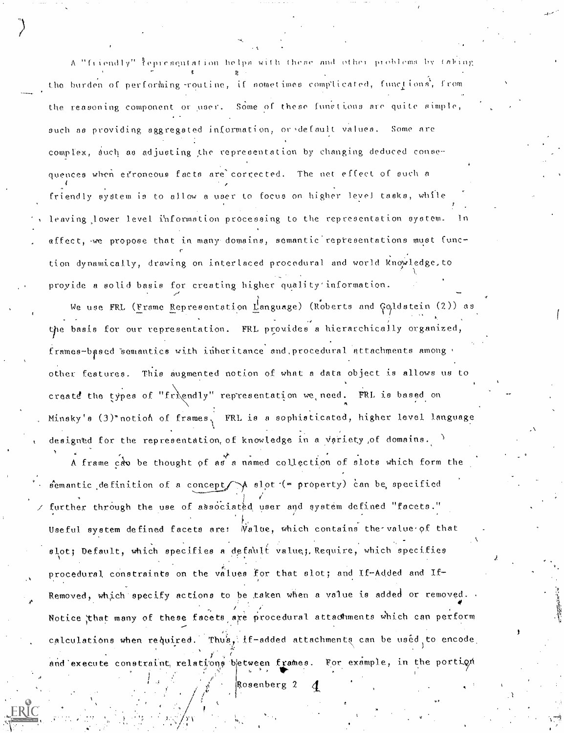A "friendly" fepresquistion helps with these and other problems by taking the burden of performing routine, if sometimes complicated, functions, from the reasoning component or user. Some of these functions are quite simple, such as providing aggregated information, or default values. Some are complex, such as adjusting the representation by changing deduced consequences when effoncous facts are corrected. The net effect of such a friendly system is to allow a user to focus on higher level tasks, while leaving lower level information processing to the representation system. affect, we propose that in many domains, somantic representations must function dynamically, drawing on interlaced procedural and world knowledge.to proyide a solid basis for creating higher quality information.

We use FRL (Frame Representation Language) (Roberts and Goldstein (2)) as the basis for our representation. FRL provides a hierarchically organized, frames-based semantics with inheritance and procedural attachments among This augmented notion of what a data object is allows us to other features. create the types of "friendly" representation we need. FRL is based on Minsky's  $(3)$ \*notion of frames, FRL is a sophisticated, higher level language designed for the representation, of knowledge in a variety of domains.

A frame can be thought of as a named collection of slots which form the  $\phi$ emantic definition of a concept  $\rightarrow$  slot (= property) can be specified further through the use of associated user and system defined "facets." Useful system defined facets are: Walue, which contains the value of that slot; Default, which specifies a default value; Require, which specifies procedural constraints on the values for that slot; and If-Added and If-Removed, which specify actions to be taken when a value is added or removed. Notice that many of these facets are procedural attachments which can perform calculations when required. Thus, if-added attachments can be used to encode and execute constraint, relations between frames. For example, in the portion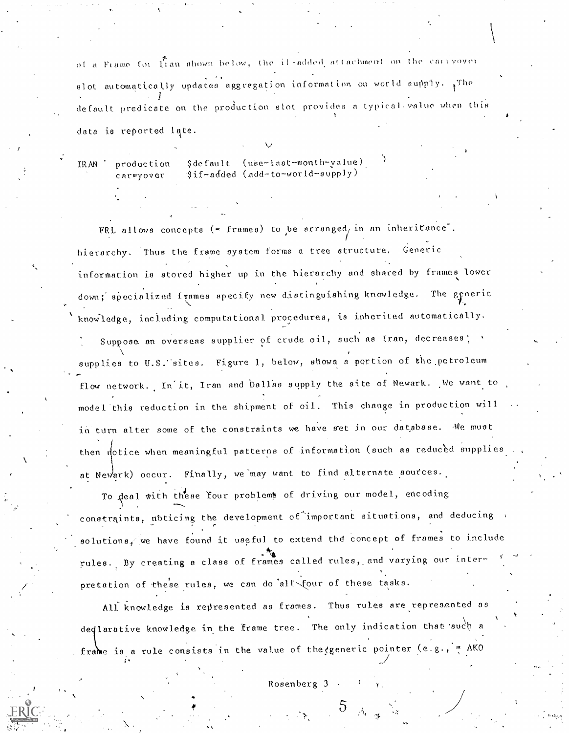of a Frame for transmown below, the il-added attachment on the carryover alot automatically updates aggregation information on world supply. The default predicate on the production slot provides a typical value when this data is reported late.

\$default (use-last-month-yalue) IRAN production \$if-added (add-to-world-supply) carryover

FRL allows concepts  $($  - frames) to be arranged, in an inheritance. hierarchy. Thus the frame system forms a tree structure. Generic information is stored higher up in the hierarchy and shared by frames lower down; specialized frames specify new distinguishing knowledge. The generic knowledge, including computational procedures, is inherited automatically.

Suppose an overseas supplier of crude oil, such as Iran, decreases; supplies to U.S. sites. Figure 1, below, shows a portion of the petroleum flow network. In it, Iran and ballas supply the site of Newark. We want to model this reduction in the shipment of oil. This change in production will in turn alter some of the constraints we have set in our database. We must then notice when meaningful patterns of information (such as reduced supplies at Newark) occur. Finally, we may want to find alternate sources.

To deal with these Your problemp of driving our model, encoding constraints, noticing the development of important situations, and deducing solutions, we have found it useful to extend the concept of frames to include rules. By creating a class of frames called rules, and varying our interpretation of these rules, we can do all four of these tasks.

All knowledge is represented as frames. Thus rules are represented as deqlarative knowledge in the frame tree. The only indication that such a frame is a rule consists in the value of the generic pointer  $(e.g., ' = AKO)$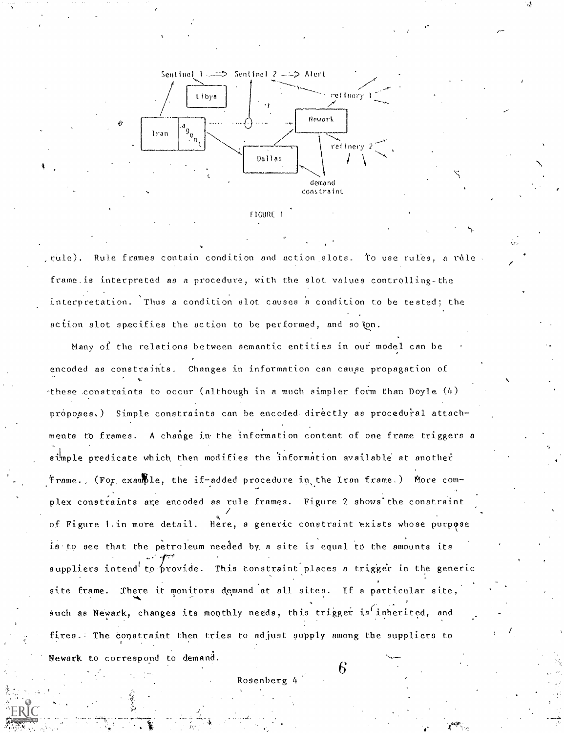



, rule). Rule frames contain condition and action slots. To use rules, a rule . frame is interpreted as a procedure, with the slot values controlling-the interpretation. Thus a condition slot causes a condition to be tested; the action slot specifies the action to be performed, and solon.

Many of the relations between semantic entities in our model can be encoded as constraints. Changes in information can cause propagation of -these constraints to occur (although in a much simpler form than Doyle (4) proposes.) Simple constraints can be encoded directly as procedural attachments to frames. A change in the information content of one frame triggers a simple predicate which then modifies the information available at another 'trame., (For example, the if-added procedure in the Iran frame.) More complex constraints are encoded as rule frames. Figure 2 shows the constraint of Figure 1. in more detail. Here, a generic constraint exists whose purpose is to see that the petroleum needed by a site is equal to the amounts its suppliers intend to provide. This constraint places a trigger in the generic site frame. There it monitors demand at all sites. If a particular site, such as Newark, changes its monthly needs, this trigger is inherited, and fires. The constraint then tries to adjust supply among the suppliers to Newark to correspond to demand.

Rosenberg 4

4''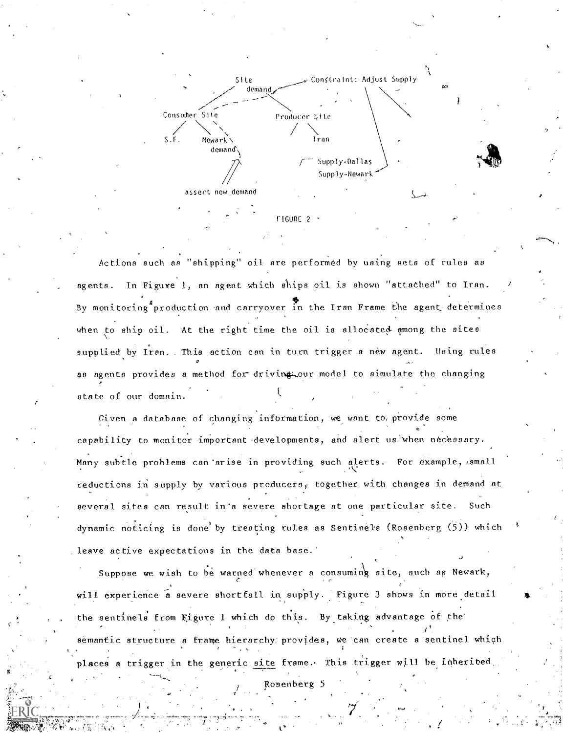

team and the second second and the

Actions such as "shipping" oil are performed by using sets of rules as agents. In Figure 1, an agent which ships oil is shown "attached" to Iran. By monitoring<sup>f</sup> production and carryover in the Iran Frame the agent determines when to ship oil. At the right time the oil is allocated among the sites supplied by Iran. This action can in turn trigger a new agent. Using rules as agents provides a method for driving tour model to simulate the changing state of our domain.

Given a database of changing information, we want to, provide some capability to monitor important developments, and alert us when necessary. Many subtle problems can'arise in providing such alerts. For example, small reductions in supply by various producers, together with changes in demand at several sites can result in'a severe shortage at one particular site. Such dynamic noticing is done'by treating rules as Sentinels (Rosenberg (5)) which leave active expectations in the data base.

Suppose we wish to be warned whenever a consuming site, such as Newark,  $\epsilon$  and  $\epsilon$ will experience a severe shortfall in supply. Figure 3 shows in more detail the sentinels from Figure 1 which do this. By taking advantage of the 1 semantic structure a frame hierarchy: provides, we'can create a sentinel which places a trigger in the generic site frame. This trigger will be inherited.

Rosenberg 5

0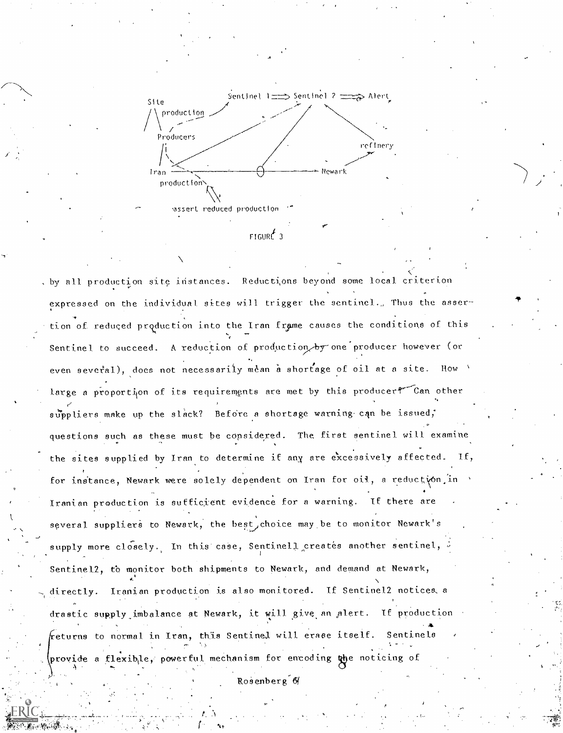

-a

, by all production site instances. Reducti,ons beyond some local criterion expressed on the individual sites will trigger the sentinel., Thus the assertion of reduced production into the Iran frame causes the conditions of this  $\qquad \qquad$ Sentinel to succeed. A reduction of production by one producer however (or even several), does not necessarily mean a shortage of oil at a site. How large a proportion of its requirements are met by this producer? Can other suppliers make up the slack? Before a shortage warning can be issued, questions such as these must be considered. The first sentinel will examine the sites supplied by Iran to determine if any are excessively affected. for instance, Newark were solely dependent on Iran for oil, a reduction in Iranian production is sufficient evidence for a warning. If there are several suppliers to Newark, the best, choice may be to monitor Newark's supply more closely. In this case, Sentinell creates another sentinel, Sentinel2, to monitor both shipments to Newark, and demand at Newark,  $\sum_{i=1}^n \alpha_i = \alpha_i$ directly. Iranian production is also monitored. If Sentinel2 notices a drastic supply imbalance at Newark, it will give an alert. If production returns to normal in Iran, this Sentinel will erase itself. Sentinels %-- provide a flexible, powerful mechanism for enroding the noticing of

Rosenberg &

.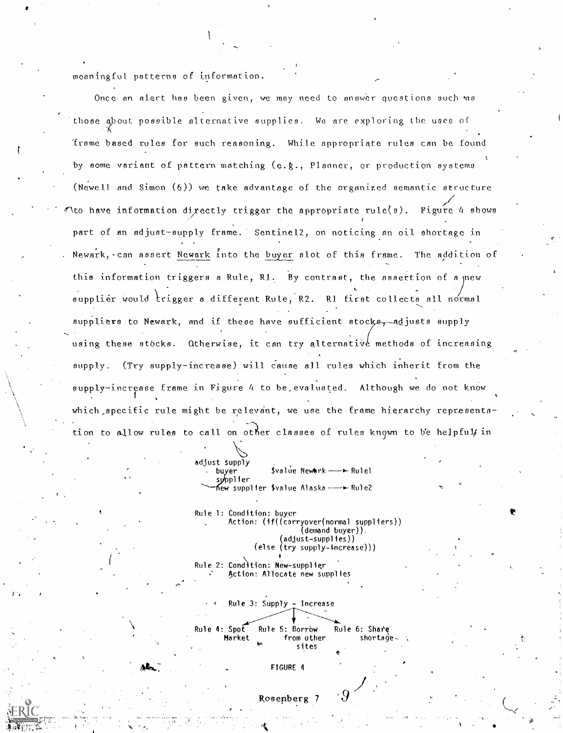meaningful patterns of information.

rin 1990.<br>Ngjarje

Once an alert has been given, we may need to answer questions such was those about possible alternative supplies. We are exploring the uses of 'frame based rules for such reasoning. While appropriate rules can be found by some variant of pattern matching (e.g., Planner, or production systems (Newell and Simon (6)) we take advantage of the organized semantic structure flto have information dixectly trigger the appropriate rule(s). Figure 4 shows part of an adjust-supply frame. Sentinel2, on noticing an oil shortage in . Newark,-can assert Newark Into the buyer slot of this frame. The addition of this information triggers a Rule, R1. By contrast, the assertion of a new **L**earn Contractor supplier would trigger a different Rule, R2. R1 first collects all normal suppliers to Newark, and if these have sufficient stocks, adjusts supply using these stocks. Otherwise, it can try alternative methods of increasing supply. (Try supply-increase) will cause all rules which inherit from the supply-increase frame in Figure 4. to be,evaluated. Although we do not know which specific rule might be relevant, we use the frame hierarchy representation to allow rules to call on other classes of rules known to be helpful in

> adjust supply buyer \$value Nework — > Rulel supplier new supplier Svalue Alaska - Eule2

Rule 1: Condition: buyer Action: (if((carryover(normal suppliers)) (demand buyer)). (adjust-supplies)) try supply-increase)))

Rule 4: Spot Rule 5: Borrow Rule 6: Share Market from other shortage sites

Rule 2: Cond)tion: New-supplier Action: Allocate new supplies

Rule 3: Supply - Increase

FIGURE 4